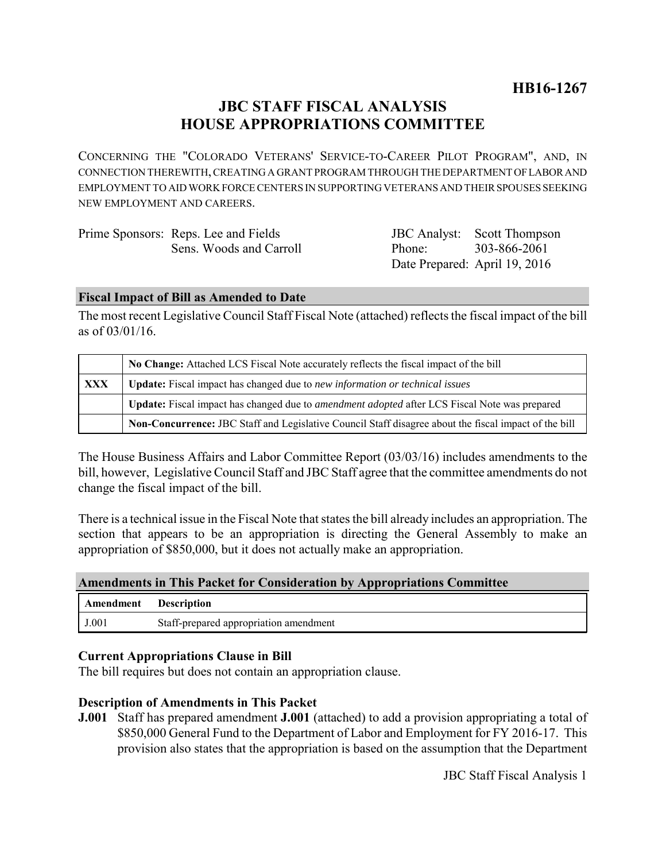# **JBC STAFF FISCAL ANALYSIS HOUSE APPROPRIATIONS COMMITTEE**

CONCERNING THE "COLORADO VETERANS' SERVICE-TO-CAREER PILOT PROGRAM", AND, IN CONNECTION THEREWITH, CREATING A GRANT PROGRAM THROUGH THE DEPARTMENT OF LABOR AND EMPLOYMENT TO AID WORK FORCE CENTERS IN SUPPORTING VETERANS AND THEIR SPOUSES SEEKING NEW EMPLOYMENT AND CAREERS.

| Prime Sponsors: Reps. Lee and Fields |                               | <b>JBC</b> Analyst: Scott Thompson |
|--------------------------------------|-------------------------------|------------------------------------|
| Sens. Woods and Carroll              | Phone: 303-866-2061           |                                    |
|                                      | Date Prepared: April 19, 2016 |                                    |

#### **Fiscal Impact of Bill as Amended to Date**

The most recent Legislative Council Staff Fiscal Note (attached) reflects the fiscal impact of the bill as of 03/01/16.

|     | No Change: Attached LCS Fiscal Note accurately reflects the fiscal impact of the bill                       |  |
|-----|-------------------------------------------------------------------------------------------------------------|--|
| XXX | <b>Update:</b> Fiscal impact has changed due to new information or technical issues                         |  |
|     | <b>Update:</b> Fiscal impact has changed due to <i>amendment adopted</i> after LCS Fiscal Note was prepared |  |
|     | Non-Concurrence: JBC Staff and Legislative Council Staff disagree about the fiscal impact of the bill       |  |

The House Business Affairs and Labor Committee Report (03/03/16) includes amendments to the bill, however, Legislative Council Staff and JBC Staff agree that the committee amendments do not change the fiscal impact of the bill.

There is a technical issue in the Fiscal Note that states the bill already includes an appropriation. The section that appears to be an appropriation is directing the General Assembly to make an appropriation of \$850,000, but it does not actually make an appropriation.

#### **Amendments in This Packet for Consideration by Appropriations Committee**

| Amendment | <b>Description</b>                     |
|-----------|----------------------------------------|
| J.001     | Staff-prepared appropriation amendment |

#### **Current Appropriations Clause in Bill**

The bill requires but does not contain an appropriation clause.

#### **Description of Amendments in This Packet**

**J.001** Staff has prepared amendment **J.001** (attached) to add a provision appropriating a total of \$850,000 General Fund to the Department of Labor and Employment for FY 2016-17. This provision also states that the appropriation is based on the assumption that the Department